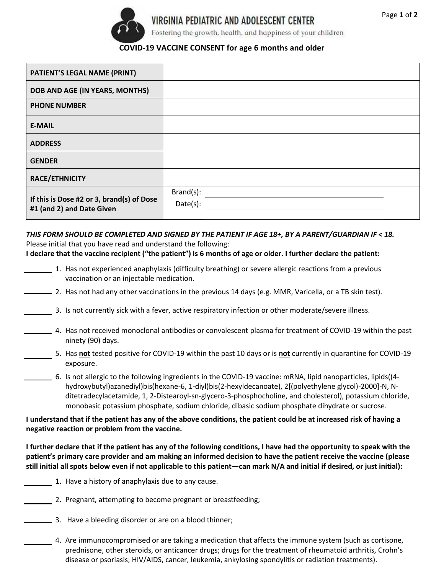

Fostering the growth, health, and happiness of your children

## **COVID-19 VACCINE CONSENT for age 6 months and older**

| <b>PATIENT'S LEGAL NAME (PRINT)</b>                                    |                       |
|------------------------------------------------------------------------|-----------------------|
| DOB AND AGE (IN YEARS, MONTHS)                                         |                       |
| <b>PHONE NUMBER</b>                                                    |                       |
| <b>E-MAIL</b>                                                          |                       |
| <b>ADDRESS</b>                                                         |                       |
| <b>GENDER</b>                                                          |                       |
| <b>RACE/ETHNICITY</b>                                                  |                       |
| If this is Dose #2 or 3, brand(s) of Dose<br>#1 (and 2) and Date Given | Brand(s):<br>Date(s): |

*THIS FORM SHOULD BE COMPLETED AND SIGNED BY THE PATIENT IF AGE 18+, BY A PARENT/GUARDIAN IF < 18.* Please initial that you have read and understand the following:

**I declare that the vaccine recipient ("the patient") is 6 months of age or older. I further declare the patient:** 

- 1. Has not experienced anaphylaxis (difficulty breathing) or severe allergic reactions from a previous vaccination or an injectable medication.
- 2. Has not had any other vaccinations in the previous 14 days (e.g. MMR, Varicella, or a TB skin test).
- 3. Is not currently sick with a fever, active respiratory infection or other moderate/severe illness.
- 4. Has not received monoclonal antibodies or convalescent plasma for treatment of COVID-19 within the past ninety (90) days.
	- 5. Has **not** tested positive for COVID-19 within the past 10 days or is **not** currently in quarantine for COVID-19 exposure.
	- 6. Is not allergic to the following ingredients in the COVID-19 vaccine: mRNA, lipid nanoparticles, lipids((4 hydroxybutyl)azanediyl)bis(hexane-6, 1-diyl)bis(2-hexyldecanoate), 2[(polyethylene glycol)-2000]-N, Nditetradecylacetamide, 1, 2-Distearoyl-sn-glycero-3-phosphocholine, and cholesterol), potassium chloride, monobasic potassium phosphate, sodium chloride, dibasic sodium phosphate dihydrate or sucrose.

**I understand that if the patient has any of the above conditions, the patient could be at increased risk of having a negative reaction or problem from the vaccine.** 

**I further declare that if the patient has any of the following conditions, I have had the opportunity to speak with the patient's primary care provider and am making an informed decision to have the patient receive the vaccine (please still initial all spots below even if not applicable to this patient—can mark N/A and initial if desired, or just initial):**

- 1. Have a history of anaphylaxis due to any cause.
- 2. Pregnant, attempting to become pregnant or breastfeeding;
- 3. Have a bleeding disorder or are on a blood thinner;
	- 4. Are immunocompromised or are taking a medication that affects the immune system (such as cortisone, prednisone, other steroids, or anticancer drugs; drugs for the treatment of rheumatoid arthritis, Crohn's disease or psoriasis; HIV/AIDS, cancer, leukemia, ankylosing spondylitis or radiation treatments).